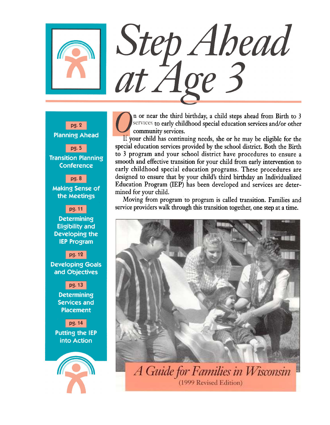# Step Ahead<br>at Age 3

pg. 2 **Planning Ahead**  $pg.5$ **Transition Planning Conference** pg. 8 **Making Sense of** the Meetings pg. 11 **Determining Eligibility and** Developing the **IEP Program** pg. 12 **Developing Goals** and Objectives pg. 13 **Determining Services and Placement** pg. 14 **Putting the IEP** into Action

n or near the third birthday, a child steps ahead from Birth to 3 services to early childhood special education services and/or other community services.

If your child has continuing needs, she or he may be eligible for the special education services provided by the school district. Both the Birth to 3 program and your school district have procedures to ensure a smooth and effective transition for your child from early intervention to early childhood special education programs. These procedures are designed to ensure that by your child's third birthday an Individualized Education Program (IEP) has been developed and services are determined for your child.

Moving from program to program is called transition. Families and service providers walk through this transition together, one step at a time.



A Guide for Families in Wisconsin (1999 Revised Edition)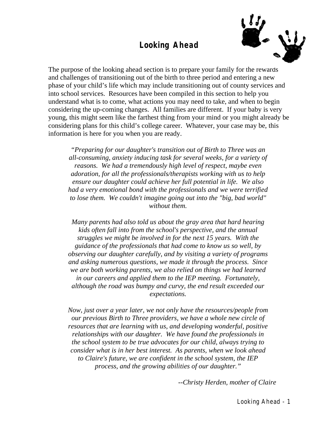# **Looking Ahead**



The purpose of the looking ahead section is to prepare your family for the rewards and challenges of transitioning out of the birth to three period and entering a new phase of your child's life which may include transitioning out of county services and into school services. Resources have been compiled in this section to help you understand what is to come, what actions you may need to take, and when to begin considering the up-coming changes. All families are different. If your baby is very young, this might seem like the farthest thing from your mind or you might already be considering plans for this child's college career. Whatever, your case may be, this information is here for you when you are ready.

*"Preparing for our daughter's transition out of Birth to Three was an all-consuming, anxiety inducing task for several weeks, for a variety of reasons. We had a tremendously high level of respect, maybe even adoration, for all the professionals/therapists working with us to help ensure our daughter could achieve her full potential in life. We also had a very emotional bond with the professionals and we were terrified to lose them. We couldn't imagine going out into the "big, bad world" without them.*

*Many parents had also told us about the gray area that hard hearing kids often fall into from the school's perspective, and the annual struggles we might be involved in for the next 15 years. With the guidance of the professionals that had come to know us so well, by observing our daughter carefully, and by visiting a variety of programs and asking numerous questions, we made it through the process. Since we are both working parents, we also relied on things we had learned in our careers and applied them to the IEP meeting. Fortunately, although the road was bumpy and curvy, the end result exceeded our expectations.*

*Now, just over a year later, we not only have the resources/people from our previous Birth to Three providers, we have a whole new circle of resources that are learning with us, and developing wonderful, positive relationships with our daughter. We have found the professionals in the school system to be true advocates for our child, always trying to consider what is in her best interest. As parents, when we look ahead to Claire's future, we are confident in the school system, the IEP process, and the growing abilities of our daughter."*

*--Christy Herden, mother of Claire*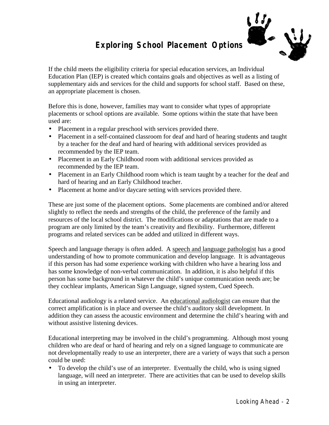**Exploring School Placement Options**

If the child meets the eligibility criteria for special education services, an Individual Education Plan (IEP) is created which contains goals and objectives as well as a listing of supplementary aids and services for the child and supports for school staff. Based on these, an appropriate placement is chosen.

Before this is done, however, families may want to consider what types of appropriate placements or school options are available. Some options within the state that have been used are:

- Placement in a regular preschool with services provided there.
- Placement in a self-contained classroom for deaf and hard of hearing students and taught by a teacher for the deaf and hard of hearing with additional services provided as recommended by the IEP team.
- Placement in an Early Childhood room with additional services provided as recommended by the IEP team.
- Placement in an Early Childhood room which is team taught by a teacher for the deaf and hard of hearing and an Early Childhood teacher.
- Placement at home and/or daycare setting with services provided there.

These are just some of the placement options. Some placements are combined and/or altered slightly to reflect the needs and strengths of the child, the preference of the family and resources of the local school district. The modifications or adaptations that are made to a program are only limited by the team's creativity and flexibility. Furthermore, different programs and related services can be added and utilized in different ways.

Speech and language therapy is often added. A speech and language pathologist has a good understanding of how to promote communication and develop language. It is advantageous if this person has had some experience working with children who have a hearing loss and has some knowledge of non-verbal communication. In addition, it is also helpful if this person has some background in whatever the child's unique communication needs are; be they cochlear implants, American Sign Language, signed system, Cued Speech.

Educational audiology is a related service. An educational audiologist can ensure that the correct amplification is in place and oversee the child's auditory skill development. In addition they can assess the acoustic environment and determine the child's hearing with and without assistive listening devices.

Educational interpreting may be involved in the child's programming. Although most young children who are deaf or hard of hearing and rely on a signed language to communicate are not developmentally ready to use an interpreter, there are a variety of ways that such a person could be used:

• To develop the child's use of an interpreter. Eventually the child, who is using signed language, will need an interpreter. There are activities that can be used to develop skills in using an interpreter.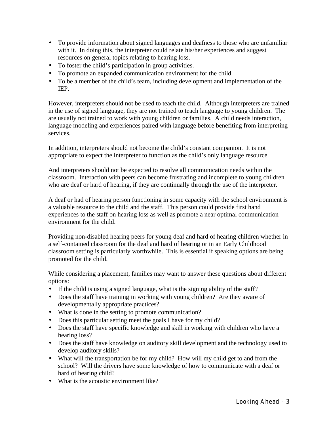- To provide information about signed languages and deafness to those who are unfamiliar with it. In doing this, the interpreter could relate his/her experiences and suggest resources on general topics relating to hearing loss.
- To foster the child's participation in group activities.
- To promote an expanded communication environment for the child.
- To be a member of the child's team, including development and implementation of the IEP.

However, interpreters should not be used to teach the child. Although interpreters are trained in the use of signed language, they are not trained to teach language to young children. The are usually not trained to work with young children or families. A child needs interaction, language modeling and experiences paired with language before benefiting from interpreting services.

In addition, interpreters should not become the child's constant companion. It is not appropriate to expect the interpreter to function as the child's only language resource.

And interpreters should not be expected to resolve all communication needs within the classroom. Interaction with peers can become frustrating and incomplete to young children who are deaf or hard of hearing, if they are continually through the use of the interpreter.

A deaf or had of hearing person functioning in some capacity with the school environment is a valuable resource to the child and the staff. This person could provide first hand experiences to the staff on hearing loss as well as promote a near optimal communication environment for the child.

Providing non-disabled hearing peers for young deaf and hard of hearing children whether in a self-contained classroom for the deaf and hard of hearing or in an Early Childhood classroom setting is particularly worthwhile. This is essential if speaking options are being promoted for the child.

While considering a placement, families may want to answer these questions about different options:

- If the child is using a signed language, what is the signing ability of the staff?
- Does the staff have training in working with young children? Are they aware of developmentally appropriate practices?
- What is done in the setting to promote communication?
- Does this particular setting meet the goals I have for my child?
- Does the staff have specific knowledge and skill in working with children who have a hearing loss?
- Does the staff have knowledge on auditory skill development and the technology used to develop auditory skills?
- What will the transportation be for my child? How will my child get to and from the school? Will the drivers have some knowledge of how to communicate with a deaf or hard of hearing child?
- What is the acoustic environment like?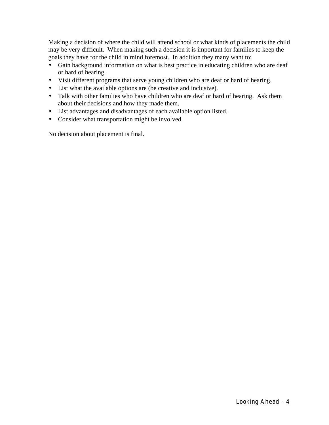Making a decision of where the child will attend school or what kinds of placements the child may be very difficult. When making such a decision it is important for families to keep the goals they have for the child in mind foremost. In addition they many want to:

- Gain background information on what is best practice in educating children who are deaf or hard of hearing.
- Visit different programs that serve young children who are deaf or hard of hearing.
- List what the available options are (be creative and inclusive).
- Talk with other families who have children who are deaf or hard of hearing. Ask them about their decisions and how they made them.
- List advantages and disadvantages of each available option listed.
- Consider what transportation might be involved.

No decision about placement is final.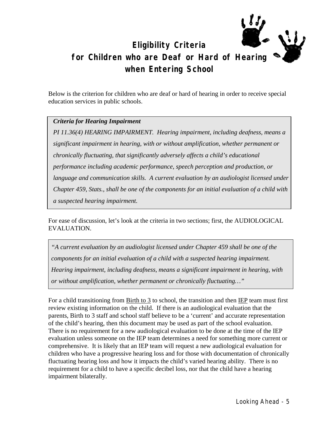# **Eligibility Criteria for Children who are Deaf or Hard of Hearing when Entering School**

Below is the criterion for children who are deaf or hard of hearing in order to receive special education services in public schools.

# *Criteria for Hearing Impairment*

*PI 11.36(4) HEARING IMPAIRMENT. Hearing impairment, including deafness, means a significant impairment in hearing, with or without amplification, whether permanent or chronically fluctuating, that significantly adversely affects a child's educational performance including academic performance, speech perception and production, or language and communication skills. A current evaluation by an audiologist licensed under Chapter 459, Stats., shall be one of the components for an initial evaluation of a child with a suspected hearing impairment.* 

For ease of discussion, let's look at the criteria in two sections; first, the AUDIOLOGICAL EVALUATION.

*"A current evaluation by an audiologist licensed under Chapter 459 shall be one of the components for an initial evaluation of a child with a suspected hearing impairment. Hearing impairment, including deafness, means a significant impairment in hearing, with or without amplification, whether permanent or chronically fluctuating…"*

For a child transitioning from  $Birth to 3$  to school, the transition and then  $IEP$  team must first</u></u> review existing information on the child. If there is an audiological evaluation that the parents, Birth to 3 staff and school staff believe to be a 'current' and accurate representation of the child's hearing, then this document may be used as part of the school evaluation. There is no requirement for a new audiological evaluation to be done at the time of the IEP evaluation unless someone on the IEP team determines a need for something more current or comprehensive. It is likely that an IEP team will request a new audiological evaluation for children who have a progressive hearing loss and for those with documentation of chronically fluctuating hearing loss and how it impacts the child's varied hearing ability. There is no requirement for a child to have a specific decibel loss, nor that the child have a hearing impairment bilaterally.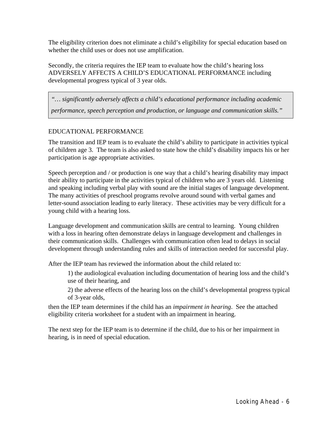The eligibility criterion does not eliminate a child's eligibility for special education based on whether the child uses or does not use amplification.

Secondly, the criteria requires the IEP team to evaluate how the child's hearing loss ADVERSELY AFFECTS A CHILD'S EDUCATIONAL PERFORMANCE including developmental progress typical of 3 year olds.

*"… significantly adversely affects a child's educational performance including academic performance, speech perception and production, or language and communication skills."*

# EDUCATIONAL PERFORMANCE

The transition and IEP team is to evaluate the child's ability to participate in activities typical of children age 3. The team is also asked to state how the child's disability impacts his or her participation is age appropriate activities.

Speech perception and / or production is one way that a child's hearing disability may impact their ability to participate in the activities typical of children who are 3 years old. Listening and speaking including verbal play with sound are the initial stages of language development. The many activities of preschool programs revolve around sound with verbal games and letter-sound association leading to early literacy. These activities may be very difficult for a young child with a hearing loss.

Language development and communication skills are central to learning. Young children with a loss in hearing often demonstrate delays in language development and challenges in their communication skills. Challenges with communication often lead to delays in social development through understanding rules and skills of interaction needed for successful play.

After the IEP team has reviewed the information about the child related to:

1) the audiological evaluation including documentation of hearing loss and the child's use of their hearing, and

2) the adverse effects of the hearing loss on the child's developmental progress typical of 3-year olds,

then the IEP team determines if the child has an *impairment in hearing*. See the attached eligibility criteria worksheet for a student with an impairment in hearing.

The next step for the IEP team is to determine if the child, due to his or her impairment in hearing, is in need of special education.